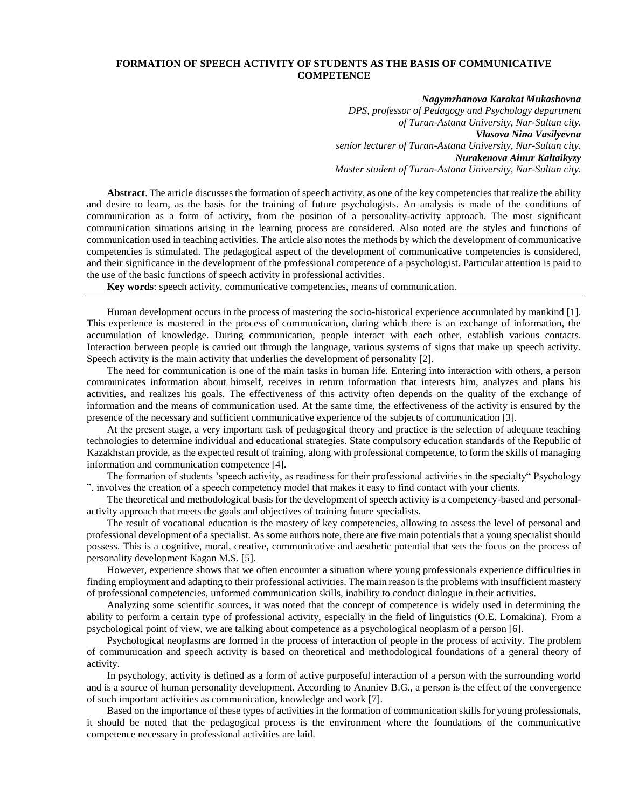## **FORMATION OF SPEECH ACTIVITY OF STUDENTS AS THE BASIS OF COMMUNICATIVE COMPETENCE**

## *Nagymzhanova Karakat Mukashovna*

*DPS, professor of Pedagogy and Psychology department of Turan-Astana University, Nur-Sultan city. Vlasova Nina Vasilyevna senior lecturer of Turan-Astana University, Nur-Sultan city. Nurakenova Ainur Kaltaikyzy Master student of Turan-Astana University, Nur-Sultan city.*

**Abstract**. The article discusses the formation of speech activity, as one of the key competencies that realize the ability and desire to learn, as the basis for the training of future psychologists. An analysis is made of the conditions of communication as a form of activity, from the position of a personality-activity approach. The most significant communication situations arising in the learning process are considered. Also noted are the styles and functions of communication used in teaching activities. The article also notes the methods by which the development of communicative competencies is stimulated. The pedagogical aspect of the development of communicative competencies is considered, and their significance in the development of the professional competence of a psychologist. Particular attention is paid to the use of the basic functions of speech activity in professional activities.

**Key words**: speech activity, communicative competencies, means of communication.

Human development occurs in the process of mastering the socio-historical experience accumulated by mankind [1]. This experience is mastered in the process of communication, during which there is an exchange of information, the accumulation of knowledge. During communication, people interact with each other, establish various contacts. Interaction between people is carried out through the language, various systems of signs that make up speech activity. Speech activity is the main activity that underlies the development of personality [2].

The need for communication is one of the main tasks in human life. Entering into interaction with others, a person communicates information about himself, receives in return information that interests him, analyzes and plans his activities, and realizes his goals. The effectiveness of this activity often depends on the quality of the exchange of information and the means of communication used. At the same time, the effectiveness of the activity is ensured by the presence of the necessary and sufficient communicative experience of the subjects of communication [3].

At the present stage, a very important task of pedagogical theory and practice is the selection of adequate teaching technologies to determine individual and educational strategies. State compulsory education standards of the Republic of Kazakhstan provide, as the expected result of training, along with professional competence, to form the skills of managing information and communication competence [4].

The formation of students 'speech activity, as readiness for their professional activities in the specialty" Psychology ", involves the creation of a speech competency model that makes it easy to find contact with your clients.

The theoretical and methodological basis for the development of speech activity is a competency-based and personalactivity approach that meets the goals and objectives of training future specialists.

The result of vocational education is the mastery of key competencies, allowing to assess the level of personal and professional development of a specialist. As some authors note, there are five main potentials that a young specialist should possess. This is a cognitive, moral, creative, communicative and aesthetic potential that sets the focus on the process of personality development Kagan M.S. [5].

However, experience shows that we often encounter a situation where young professionals experience difficulties in finding employment and adapting to their professional activities. The main reason is the problems with insufficient mastery of professional competencies, unformed communication skills, inability to conduct dialogue in their activities.

Analyzing some scientific sources, it was noted that the concept of competence is widely used in determining the ability to perform a certain type of professional activity, especially in the field of linguistics (O.E. Lomakina). From a psychological point of view, we are talking about competence as a psychological neoplasm of a person [6].

Psychological neoplasms are formed in the process of interaction of people in the process of activity. The problem of communication and speech activity is based on theoretical and methodological foundations of a general theory of activity.

In psychology, activity is defined as a form of active purposeful interaction of a person with the surrounding world and is a source of human personality development. According to Ananiev B.G., a person is the effect of the convergence of such important activities as communication, knowledge and work [7].

Based on the importance of these types of activities in the formation of communication skills for young professionals, it should be noted that the pedagogical process is the environment where the foundations of the communicative competence necessary in professional activities are laid.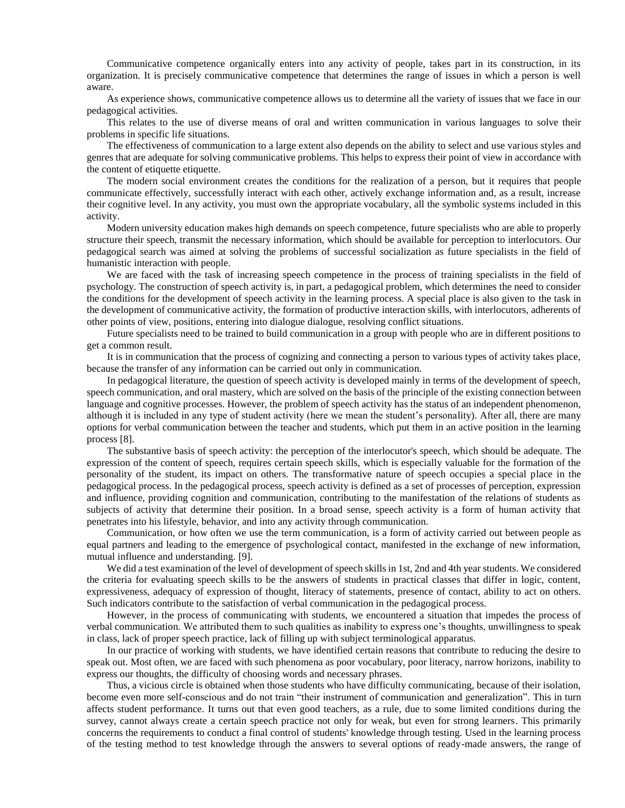Communicative competence organically enters into any activity of people, takes part in its construction, in its organization. It is precisely communicative competence that determines the range of issues in which a person is well aware.

As experience shows, communicative competence allows us to determine all the variety of issues that we face in our pedagogical activities.

This relates to the use of diverse means of oral and written communication in various languages to solve their problems in specific life situations.

The effectiveness of communication to a large extent also depends on the ability to select and use various styles and genres that are adequate for solving communicative problems. This helps to express their point of view in accordance with the content of etiquette etiquette.

The modern social environment creates the conditions for the realization of a person, but it requires that people communicate effectively, successfully interact with each other, actively exchange information and, as a result, increase their cognitive level. In any activity, you must own the appropriate vocabulary, all the symbolic systems included in this activity.

Modern university education makes high demands on speech competence, future specialists who are able to properly structure their speech, transmit the necessary information, which should be available for perception to interlocutors. Our pedagogical search was aimed at solving the problems of successful socialization as future specialists in the field of humanistic interaction with people.

We are faced with the task of increasing speech competence in the process of training specialists in the field of psychology. The construction of speech activity is, in part, a pedagogical problem, which determines the need to consider the conditions for the development of speech activity in the learning process. A special place is also given to the task in the development of communicative activity, the formation of productive interaction skills, with interlocutors, adherents of other points of view, positions, entering into dialogue dialogue, resolving conflict situations.

Future specialists need to be trained to build communication in a group with people who are in different positions to get a common result.

It is in communication that the process of cognizing and connecting a person to various types of activity takes place, because the transfer of any information can be carried out only in communication.

In pedagogical literature, the question of speech activity is developed mainly in terms of the development of speech, speech communication, and oral mastery, which are solved on the basis of the principle of the existing connection between language and cognitive processes. However, the problem of speech activity has the status of an independent phenomenon, although it is included in any type of student activity (here we mean the student's personality). After all, there are many options for verbal communication between the teacher and students, which put them in an active position in the learning process [8].

The substantive basis of speech activity: the perception of the interlocutor's speech, which should be adequate. The expression of the content of speech, requires certain speech skills, which is especially valuable for the formation of the personality of the student, its impact on others. The transformative nature of speech occupies a special place in the pedagogical process. In the pedagogical process, speech activity is defined as a set of processes of perception, expression and influence, providing cognition and communication, contributing to the manifestation of the relations of students as subjects of activity that determine their position. In a broad sense, speech activity is a form of human activity that penetrates into his lifestyle, behavior, and into any activity through communication.

Communication, or how often we use the term communication, is a form of activity carried out between people as equal partners and leading to the emergence of psychological contact, manifested in the exchange of new information, mutual influence and understanding. [9].

We did a test examination of the level of development of speech skills in 1st, 2nd and 4th year students. We considered the criteria for evaluating speech skills to be the answers of students in practical classes that differ in logic, content, expressiveness, adequacy of expression of thought, literacy of statements, presence of contact, ability to act on others. Such indicators contribute to the satisfaction of verbal communication in the pedagogical process.

However, in the process of communicating with students, we encountered a situation that impedes the process of verbal communication. We attributed them to such qualities as inability to express one's thoughts, unwillingness to speak in class, lack of proper speech practice, lack of filling up with subject terminological apparatus.

In our practice of working with students, we have identified certain reasons that contribute to reducing the desire to speak out. Most often, we are faced with such phenomena as poor vocabulary, poor literacy, narrow horizons, inability to express our thoughts, the difficulty of choosing words and necessary phrases.

Thus, a vicious circle is obtained when those students who have difficulty communicating, because of their isolation, become even more self-conscious and do not train "their instrument of communication and generalization". This in turn affects student performance. It turns out that even good teachers, as a rule, due to some limited conditions during the survey, cannot always create a certain speech practice not only for weak, but even for strong learners. This primarily concerns the requirements to conduct a final control of students' knowledge through testing. Used in the learning process of the testing method to test knowledge through the answers to several options of ready-made answers, the range of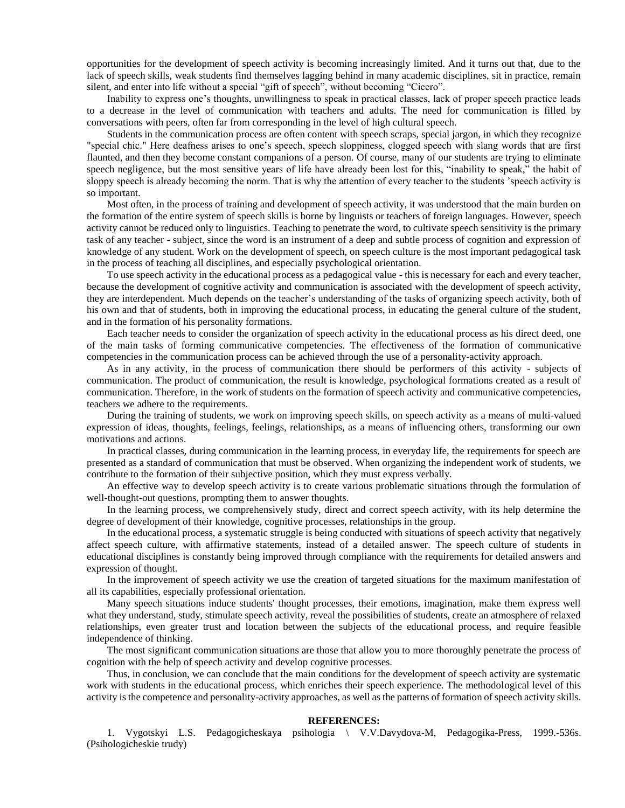opportunities for the development of speech activity is becoming increasingly limited. And it turns out that, due to the lack of speech skills, weak students find themselves lagging behind in many academic disciplines, sit in practice, remain silent, and enter into life without a special "gift of speech", without becoming "Cicero".

Inability to express one's thoughts, unwillingness to speak in practical classes, lack of proper speech practice leads to a decrease in the level of communication with teachers and adults. The need for communication is filled by conversations with peers, often far from corresponding in the level of high cultural speech.

Students in the communication process are often content with speech scraps, special jargon, in which they recognize "special chic." Here deafness arises to one's speech, speech sloppiness, clogged speech with slang words that are first flaunted, and then they become constant companions of a person. Of course, many of our students are trying to eliminate speech negligence, but the most sensitive years of life have already been lost for this, "inability to speak," the habit of sloppy speech is already becoming the norm. That is why the attention of every teacher to the students 'speech activity is so important.

Most often, in the process of training and development of speech activity, it was understood that the main burden on the formation of the entire system of speech skills is borne by linguists or teachers of foreign languages. However, speech activity cannot be reduced only to linguistics. Teaching to penetrate the word, to cultivate speech sensitivity is the primary task of any teacher - subject, since the word is an instrument of a deep and subtle process of cognition and expression of knowledge of any student. Work on the development of speech, on speech culture is the most important pedagogical task in the process of teaching all disciplines, and especially psychological orientation.

To use speech activity in the educational process as a pedagogical value - this is necessary for each and every teacher, because the development of cognitive activity and communication is associated with the development of speech activity, they are interdependent. Much depends on the teacher's understanding of the tasks of organizing speech activity, both of his own and that of students, both in improving the educational process, in educating the general culture of the student, and in the formation of his personality formations.

Each teacher needs to consider the organization of speech activity in the educational process as his direct deed, one of the main tasks of forming communicative competencies. The effectiveness of the formation of communicative competencies in the communication process can be achieved through the use of a personality-activity approach.

As in any activity, in the process of communication there should be performers of this activity - subjects of communication. The product of communication, the result is knowledge, psychological formations created as a result of communication. Therefore, in the work of students on the formation of speech activity and communicative competencies, teachers we adhere to the requirements.

During the training of students, we work on improving speech skills, on speech activity as a means of multi-valued expression of ideas, thoughts, feelings, feelings, relationships, as a means of influencing others, transforming our own motivations and actions.

In practical classes, during communication in the learning process, in everyday life, the requirements for speech are presented as a standard of communication that must be observed. When organizing the independent work of students, we contribute to the formation of their subjective position, which they must express verbally.

An effective way to develop speech activity is to create various problematic situations through the formulation of well-thought-out questions, prompting them to answer thoughts.

In the learning process, we comprehensively study, direct and correct speech activity, with its help determine the degree of development of their knowledge, cognitive processes, relationships in the group.

In the educational process, a systematic struggle is being conducted with situations of speech activity that negatively affect speech culture, with affirmative statements, instead of a detailed answer. The speech culture of students in educational disciplines is constantly being improved through compliance with the requirements for detailed answers and expression of thought.

In the improvement of speech activity we use the creation of targeted situations for the maximum manifestation of all its capabilities, especially professional orientation.

Many speech situations induce students' thought processes, their emotions, imagination, make them express well what they understand, study, stimulate speech activity, reveal the possibilities of students, create an atmosphere of relaxed relationships, even greater trust and location between the subjects of the educational process, and require feasible independence of thinking.

The most significant communication situations are those that allow you to more thoroughly penetrate the process of cognition with the help of speech activity and develop cognitive processes.

Thus, in conclusion, we can conclude that the main conditions for the development of speech activity are systematic work with students in the educational process, which enriches their speech experience. The methodological level of this activity is the competence and personality-activity approaches, as well as the patterns of formation of speech activity skills.

## **REFERENCES:**

1. Vygotskyi L.S. Pedagogicheskaya psihologia \ V.V.Davydova-M, Pedagogika-Press, 1999.-536s. (Psihologicheskie trudy)